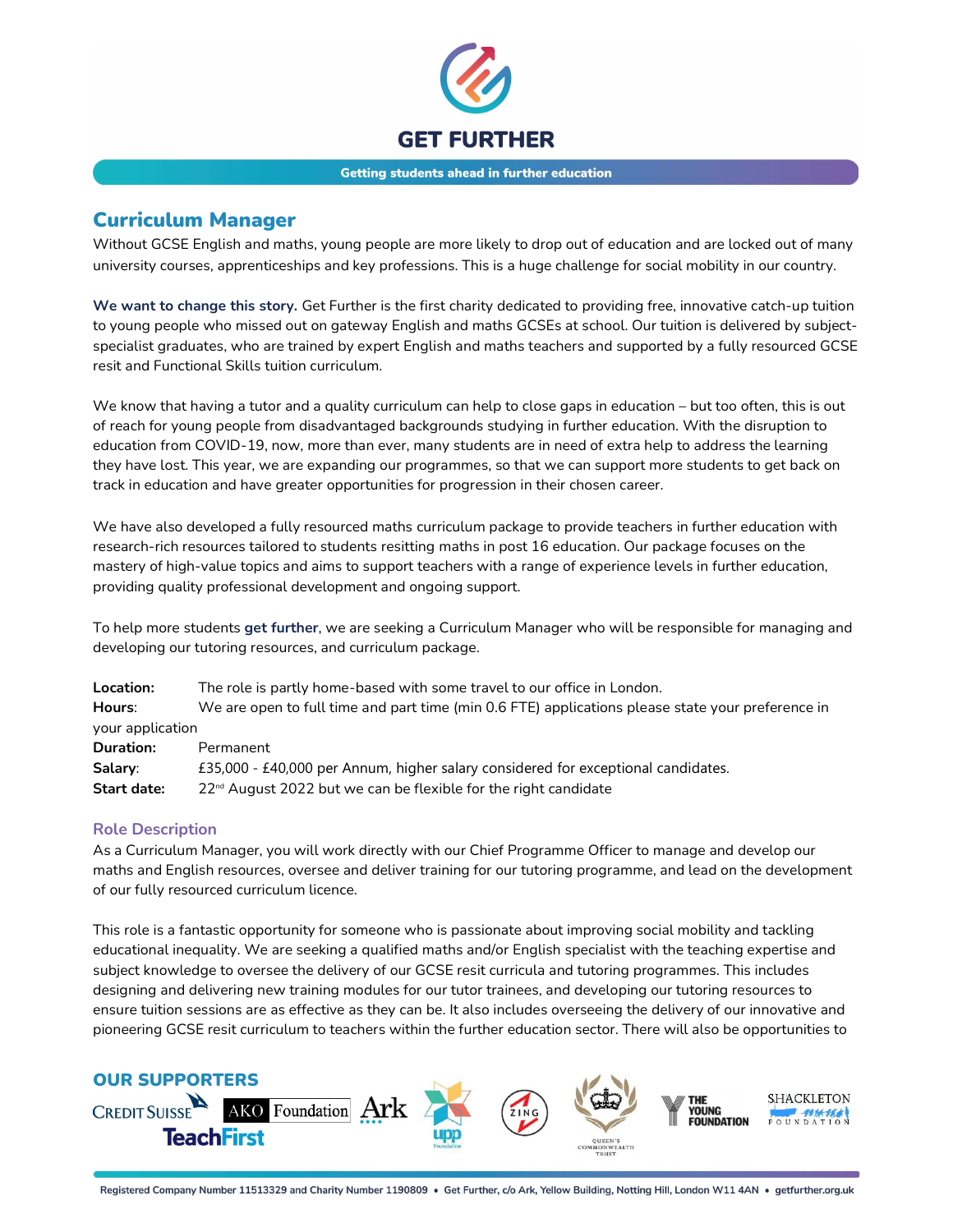

# Curriculum Manager

Without GCSE English and maths, young people are more likely to drop out of education and are locked out of many university courses, apprenticeships and key professions. This is a huge challenge for social mobility in our country.

We want to change this story. Get Further is the first charity dedicated to providing free, innovative catch-up tuition to young people who missed out on gateway English and maths GCSEs at school. Our tuition is delivered by subjectspecialist graduates, who are trained by expert English and maths teachers and supported by a fully resourced GCSE resit and Functional Skills tuition curriculum.

We know that having a tutor and a quality curriculum can help to close gaps in education – but too often, this is out of reach for young people from disadvantaged backgrounds studying in further education. With the disruption to education from COVID-19, now, more than ever, many students are in need of extra help to address the learning they have lost. This year, we are expanding our programmes, so that we can support more students to get back on track in education and have greater opportunities for progression in their chosen career.

We have also developed a fully resourced maths curriculum package to provide teachers in further education with research-rich resources tailored to students resitting maths in post 16 education. Our package focuses on the mastery of high-value topics and aims to support teachers with a range of experience levels in further education, providing quality professional development and ongoing support.

To help more students get further, we are seeking a Curriculum Manager who will be responsible for managing and developing our tutoring resources, and curriculum package.

| Location:<br>Hours: | The role is partly home-based with some travel to our office in London.<br>We are open to full time and part time (min 0.6 FTE) applications please state your preference in |
|---------------------|------------------------------------------------------------------------------------------------------------------------------------------------------------------------------|
| your application    |                                                                                                                                                                              |
| <b>Duration:</b>    | Permanent                                                                                                                                                                    |
|                     |                                                                                                                                                                              |
| Salary:             | £35,000 - £40,000 per Annum, higher salary considered for exceptional candidates.                                                                                            |
| Start date:         | $22nd$ August 2022 but we can be flexible for the right candidate                                                                                                            |

# Role Description

As a Curriculum Manager, you will work directly with our Chief Programme Officer to manage and develop our maths and English resources, oversee and deliver training for our tutoring programme, and lead on the development of our fully resourced curriculum licence.

This role is a fantastic opportunity for someone who is passionate about improving social mobility and tackling educational inequality. We are seeking a qualified maths and/or English specialist with the teaching expertise and subject knowledge to oversee the delivery of our GCSE resit curricula and tutoring programmes. This includes designing and delivering new training modules for our tutor trainees, and developing our tutoring resources to ensure tuition sessions are as effective as they can be. It also includes overseeing the delivery of our innovative and pioneering GCSE resit curriculum to teachers within the further education sector. There will also be opportunities to

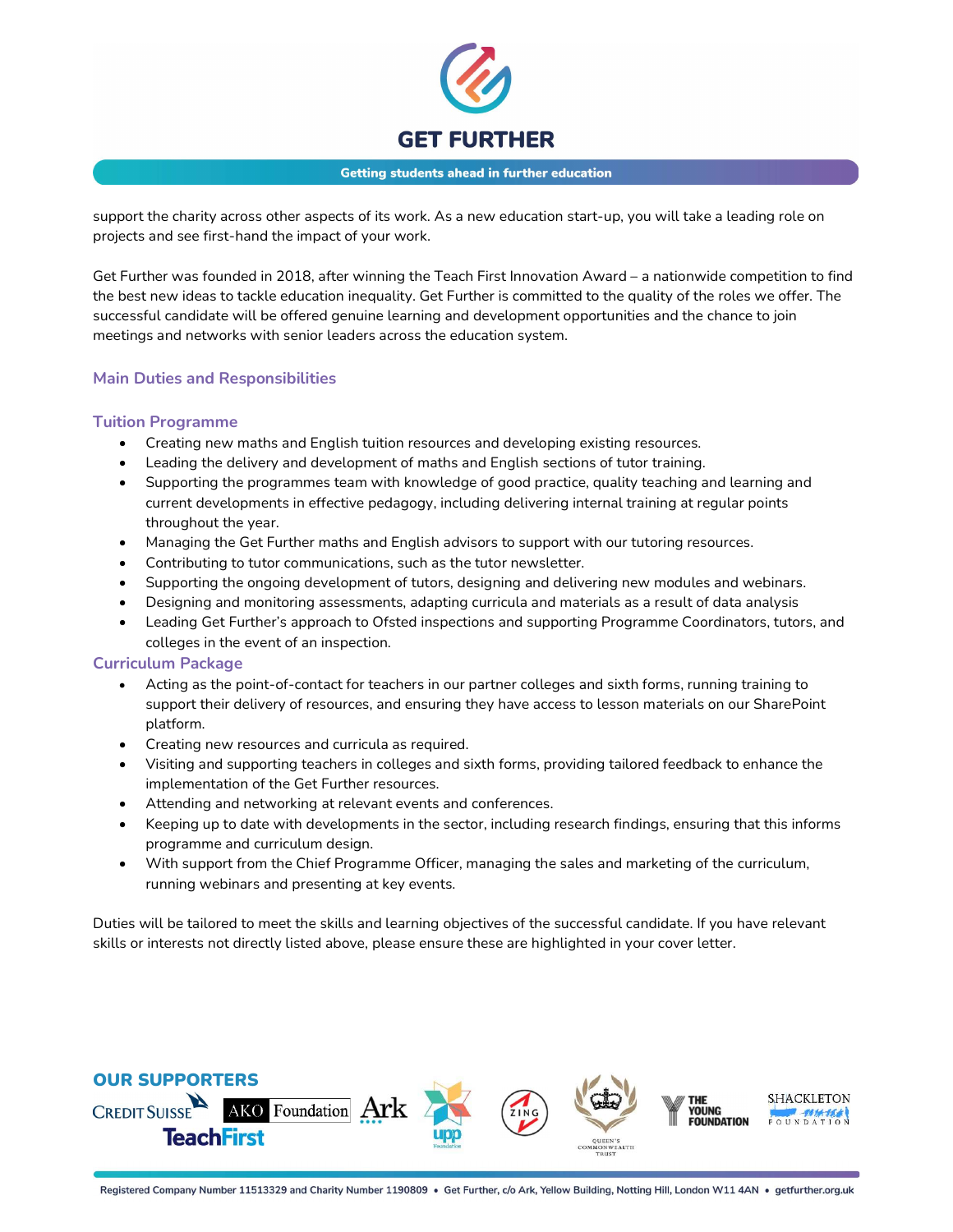

support the charity across other aspects of its work. As a new education start-up, you will take a leading role on projects and see first-hand the impact of your work.

Get Further was founded in 2018, after winning the Teach First Innovation Award – a nationwide competition to find the best new ideas to tackle education inequality. Get Further is committed to the quality of the roles we offer. The successful candidate will be offered genuine learning and development opportunities and the chance to join meetings and networks with senior leaders across the education system.

### Main Duties and Responsibilities

### Tuition Programme

- Creating new maths and English tuition resources and developing existing resources.
- Leading the delivery and development of maths and English sections of tutor training.
- Supporting the programmes team with knowledge of good practice, quality teaching and learning and current developments in effective pedagogy, including delivering internal training at regular points throughout the year.
- Managing the Get Further maths and English advisors to support with our tutoring resources.
- Contributing to tutor communications, such as the tutor newsletter.
- Supporting the ongoing development of tutors, designing and delivering new modules and webinars.
- Designing and monitoring assessments, adapting curricula and materials as a result of data analysis
- Leading Get Further's approach to Ofsted inspections and supporting Programme Coordinators, tutors, and colleges in the event of an inspection.

# Curriculum Package

- Acting as the point-of-contact for teachers in our partner colleges and sixth forms, running training to support their delivery of resources, and ensuring they have access to lesson materials on our SharePoint platform.
- Creating new resources and curricula as required.
- Visiting and supporting teachers in colleges and sixth forms, providing tailored feedback to enhance the implementation of the Get Further resources.
- Attending and networking at relevant events and conferences.
- Keeping up to date with developments in the sector, including research findings, ensuring that this informs programme and curriculum design.
- With support from the Chief Programme Officer, managing the sales and marketing of the curriculum, running webinars and presenting at key events.

Duties will be tailored to meet the skills and learning objectives of the successful candidate. If you have relevant skills or interests not directly listed above, please ensure these are highlighted in your cover letter.

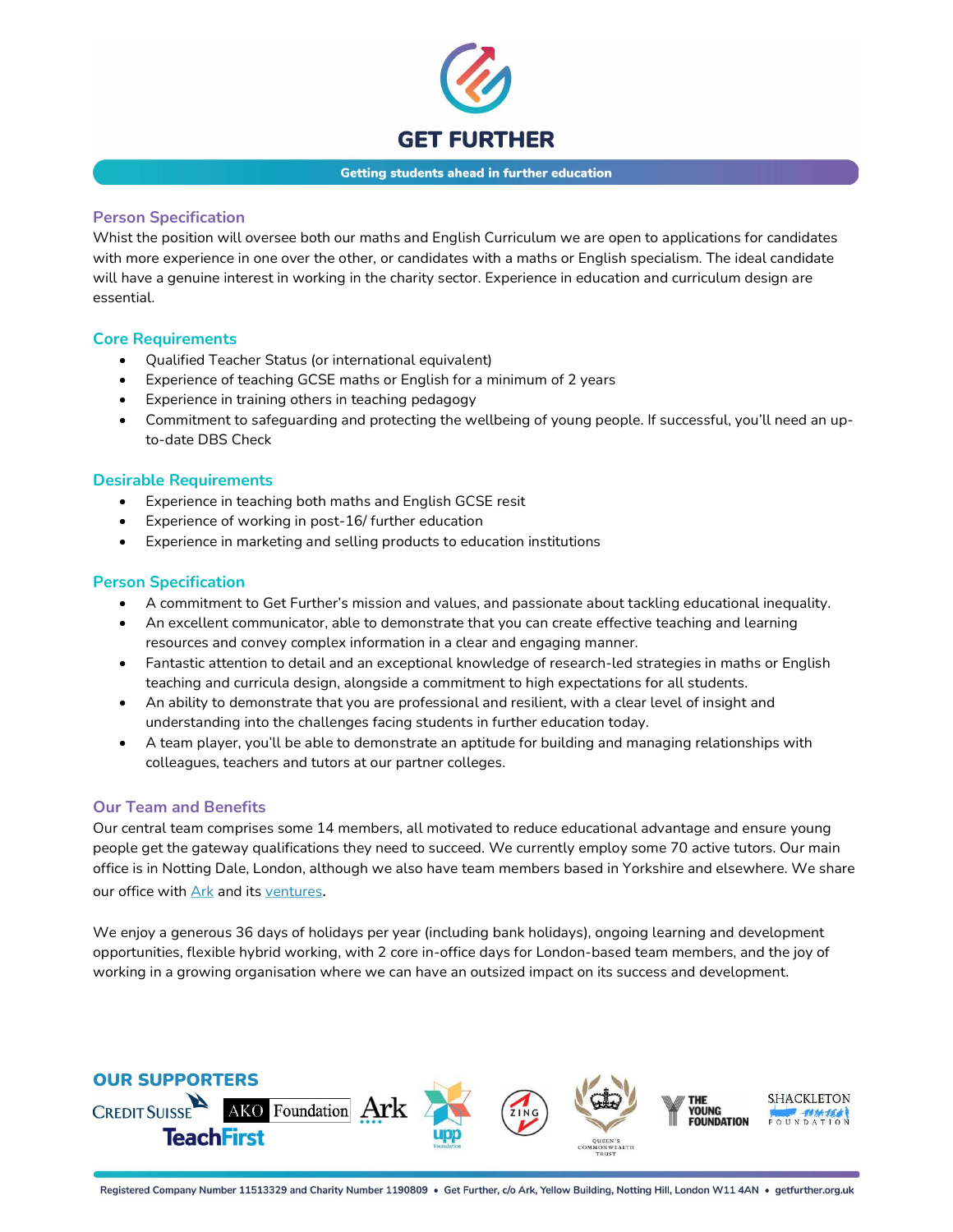

# Person Specification

Whist the position will oversee both our maths and English Curriculum we are open to applications for candidates with more experience in one over the other, or candidates with a maths or English specialism. The ideal candidate will have a genuine interest in working in the charity sector. Experience in education and curriculum design are essential.

# Core Requirements

- Qualified Teacher Status (or international equivalent)
- Experience of teaching GCSE maths or English for a minimum of 2 years
- Experience in training others in teaching pedagogy
- Commitment to safeguarding and protecting the wellbeing of young people. If successful, you'll need an upto-date DBS Check

# Desirable Requirements

- Experience in teaching both maths and English GCSE resit
- Experience of working in post-16/ further education
- Experience in marketing and selling products to education institutions

# Person Specification

- A commitment to Get Further's mission and values, and passionate about tackling educational inequality.
- An excellent communicator, able to demonstrate that you can create effective teaching and learning resources and convey complex information in a clear and engaging manner.
- Fantastic attention to detail and an exceptional knowledge of research-led strategies in maths or English teaching and curricula design, alongside a commitment to high expectations for all students.
- An ability to demonstrate that you are professional and resilient, with a clear level of insight and understanding into the challenges facing students in further education today.
- A team player, you'll be able to demonstrate an aptitude for building and managing relationships with colleagues, teachers and tutors at our partner colleges.

# Our Team and Benefits

Our central team comprises some 14 members, all motivated to reduce educational advantage and ensure young people get the gateway qualifications they need to succeed. We currently employ some 70 active tutors. Our main office is in Notting Dale, London, although we also have team members based in Yorkshire and elsewhere. We share our office with Ark and its ventures.

We enjoy a generous 36 days of holidays per year (including bank holidays), ongoing learning and development opportunities, flexible hybrid working, with 2 core in-office days for London-based team members, and the joy of working in a growing organisation where we can have an outsized impact on its success and development.